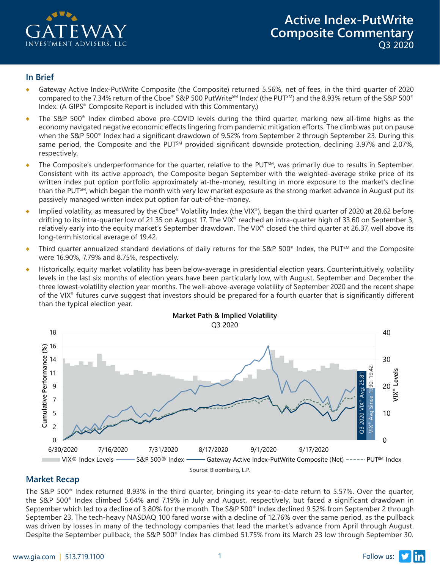

#### **In Brief**

- Gateway Active Index-PutWrite Composite (the Composite) returned 5.56%, net of fees, in the third quarter of 2020 compared to the 7.34% return of the Cboe® S&P 500 PutWriteSM Indexi (the PUTSM) and the 8.93% return of the S&P 500® Index. (A GIPS® Composite Report is included with this Commentary.)
- The S&P 500® Index climbed above pre-COVID levels during the third quarter, marking new all-time highs as the economy navigated negative economic effects lingering from pandemic mitigation efforts. The climb was put on pause when the S&P 500<sup>®</sup> Index had a significant drawdown of 9.52% from September 2 through September 23. During this same period, the Composite and the PUT<sup>5M</sup> provided significant downside protection, declining 3.97% and 2.07%, respectively.
- ♦ The Composite's underperformance for the quarter, relative to the PUTSM, was primarily due to results in September. Consistent with its active approach, the Composite began September with the weighted-average strike price of its written index put option portfolio approximately at-the-money, resulting in more exposure to the market's decline than the PUT<sup>SM</sup>, which began the month with very low market exposure as the strong market advance in August put its passively managed written index put option far out-of-the-money.
- Implied volatility, as measured by the Cboe® Volatility Index (the VIX®), began the third quarter of 2020 at 28.62 before drifting to its intra-quarter low of 21.35 on August 17. The VIX® reached an intra-quarter high of 33.60 on September 3, relatively early into the equity market's September drawdown. The VIX® closed the third quarter at 26.37, well above its long-term historical average of 19.42.
- Third quarter annualized standard deviations of daily returns for the S&P 500® Index, the PUT<sup>SM</sup> and the Composite were 16.90%, 7.79% and 8.75%, respectively.
- ♦ Historically, equity market volatility has been below-average in presidential election years. Counterintuitively, volatility levels in the last six months of election years have been particularly low, with August, September and December the three lowest-volatility election year months. The well-above-average volatility of September 2020 and the recent shape of the VIX® futures curve suggest that investors should be prepared for a fourth quarter that is significantly different than the typical election year.



# **Market Recap**

The S&P 500® Index returned 8.93% in the third quarter, bringing its year-to-date return to 5.57%. Over the quarter, the S&P 500® Index climbed 5.64% and 7.19% in July and August, respectively, but faced a significant drawdown in September which led to a decline of 3.80% for the month. The S&P 500® Index declined 9.52% from September 2 through September 23. The tech-heavy NASDAQ 100 fared worse with a decline of 12.76% over the same period, as the pullback was driven by losses in many of the technology companies that lead the market's advance from April through August. Despite the September pullback, the S&P 500® Index has climbed 51.75% from its March 23 low through September 30.

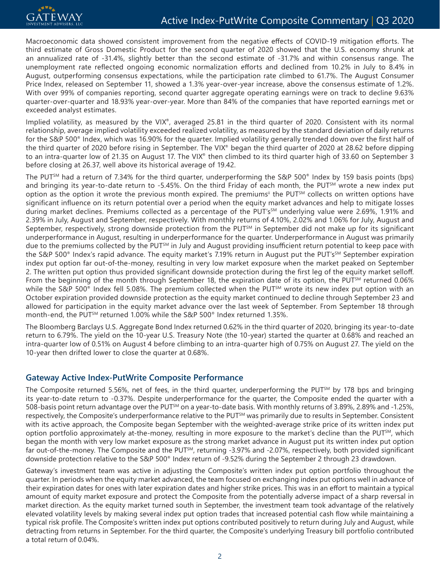Macroeconomic data showed consistent improvement from the negative effects of COVID-19 mitigation efforts. The third estimate of Gross Domestic Product for the second quarter of 2020 showed that the U.S. economy shrunk at an annualized rate of -31.4%, slightly better than the second estimate of -31.7% and within consensus range. The unemployment rate reflected ongoing economic normalization efforts and declined from 10.2% in July to 8.4% in August, outperforming consensus expectations, while the participation rate climbed to 61.7%. The August Consumer Price Index, released on September 11, showed a 1.3% year-over-year increase, above the consensus estimate of 1.2%. With over 99% of companies reporting, second quarter aggregate operating earnings were on track to decline 9.63% quarter-over-quarter and 18.93% year-over-year. More than 84% of the companies that have reported earnings met or exceeded analyst estimates.

Implied volatility, as measured by the VIX®, averaged 25.81 in the third quarter of 2020. Consistent with its normal relationship, average implied volatility exceeded realized volatility, as measured by the standard deviation of daily returns for the S&P 500® Index, which was 16.90% for the quarter. Implied volatility generally trended down over the first half of the third quarter of 2020 before rising in September. The VIX® began the third quarter of 2020 at 28.62 before dipping to an intra-quarter low of 21.35 on August 17. The VIX<sup>®</sup> then climbed to its third quarter high of 33.60 on September 3 before closing at 26.37, well above its historical average of 19.42.

The PUT<sup>SM</sup> had a return of 7.34% for the third quarter, underperforming the S&P 500<sup>®</sup> Index by 159 basis points (bps) and bringing its year-to-date return to -5.45%. On the third Friday of each month, the PUT<sup>SM</sup> wrote a new index put option as the option it wrote the previous month expired. The premiums<sup>ii</sup> the PUT<sup>SM</sup> collects on written options have significant influence on its return potential over a period when the equity market advances and help to mitigate losses during market declines. Premiums collected as a percentage of the PUT's<sup>SM</sup> underlying value were 2.69%, 1.91% and 2.39% in July, August and September, respectively. With monthly returns of 4.10%, 2.02% and 1.06% for July, August and September, respectively, strong downside protection from the PUT<sup>SM</sup> in September did not make up for its significant underperformance in August, resulting in underperformance for the quarter. Underperformance in August was primarily due to the premiums collected by the PUT<sup>5M</sup> in July and August providing insufficient return potential to keep pace with the S&P 500<sup>®</sup> Index's rapid advance. The equity market's 7.19% return in August put the PUT's<sup>SM</sup> September expiration index put option far out-of-the-money, resulting in very low market exposure when the market peaked on September 2. The written put option thus provided significant downside protection during the first leg of the equity market selloff. From the beginning of the month through September 18, the expiration date of its option, the PUT<sup>SM</sup> returned 0.06% while the S&P 500 $^{\circ}$  Index fell 5.08%. The premium collected when the PUT<sup>SM</sup> wrote its new index put option with an October expiration provided downside protection as the equity market continued to decline through September 23 and allowed for participation in the equity market advance over the last week of September. From September 18 through month-end, the PUT<sup>SM</sup> returned 1.00% while the S&P 500<sup>®</sup> Index returned 1.35%.

The Bloomberg Barclays U.S. Aggregate Bond Index returned 0.62% in the third quarter of 2020, bringing its year-to-date return to 6.79%. The yield on the 10-year U.S. Treasury Note (the 10-year) started the quarter at 0.68% and reached an intra-quarter low of 0.51% on August 4 before climbing to an intra-quarter high of 0.75% on August 27. The yield on the 10-year then drifted lower to close the quarter at 0.68%.

### **Gateway Active Index-PutWrite Composite Performance**

The Composite returned 5.56%, net of fees, in the third quarter, underperforming the PUTSM by 178 bps and bringing its year-to-date return to -0.37%. Despite underperformance for the quarter, the Composite ended the quarter with a 508-basis point return advantage over the PUT<sup>SM</sup> on a year-to-date basis. With monthly returns of 3.89%, 2.89% and -1.25%, respectively, the Composite's underperformance relative to the PUT<sup>SM</sup> was primarily due to results in September. Consistent with its active approach, the Composite began September with the weighted-average strike price of its written index put option portfolio approximately at-the-money, resulting in more exposure to the market's decline than the PUTSM, which began the month with very low market exposure as the strong market advance in August put its written index put option far out-of-the-money. The Composite and the PUT<sup>SM</sup>, returning -3.97% and -2.07%, respectively, both provided significant downside protection relative to the S&P 500® Index return of -9.52% during the September 2 through 23 drawdown.

Gateway's investment team was active in adjusting the Composite's written index put option portfolio throughout the quarter. In periods when the equity market advanced, the team focused on exchanging index put options well in advance of their expiration dates for ones with later expiration dates and higher strike prices. This was in an effort to maintain a typical amount of equity market exposure and protect the Composite from the potentially adverse impact of a sharp reversal in market direction. As the equity market turned south in September, the investment team took advantage of the relatively elevated volatility levels by making several index put option trades that increased potential cash flow while maintaining a typical risk profile. The Composite's written index put options contributed positively to return during July and August, while detracting from returns in September. For the third quarter, the Composite's underlying Treasury bill portfolio contributed a total return of 0.04%.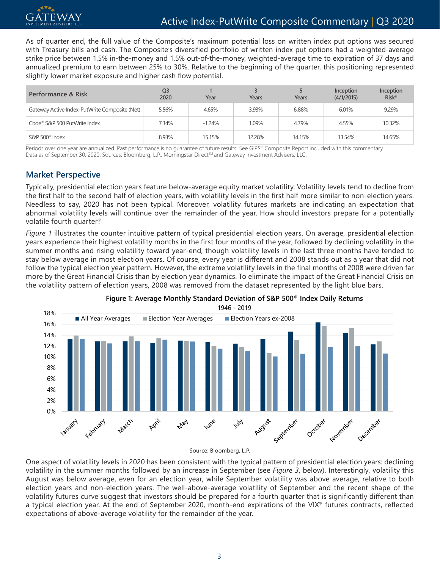

As of quarter end, the full value of the Composite's maximum potential loss on written index put options was secured with Treasury bills and cash. The Composite's diversified portfolio of written index put options had a weighted-average strike price between 1.5% in-the-money and 1.5% out-of-the-money, weighted-average time to expiration of 37 days and annualized premium to earn between 25% to 30%. Relative to the beginning of the quarter, this positioning represented slightly lower market exposure and higher cash flow potential.

| Performance & Risk                            | Q3<br>2020 | Year     | Years  | Years  | Inception<br>(4/1/2015) | Inception<br><b>Riskill</b> |  |
|-----------------------------------------------|------------|----------|--------|--------|-------------------------|-----------------------------|--|
| Gateway Active Index-PutWrite Composite (Net) | 5.56%      | 4.65%    | 3.93%  | 6.88%  | 6.01%                   | 9.29%                       |  |
| Cboe® S&P 500 PutWrite Index                  | 7.34%      | $-1.24%$ | 1.09%  | 4.79%  | 4.55%                   | 10.32%                      |  |
| $S\&P 500^{\circ}$ Index                      | 8.93%      | 15.15%   | 12.28% | 14.15% | 13.54%                  | 14.65%                      |  |

Periods over one year are annualized. Past performance is no quarantee of future results. See GIPS® Composite Report included with this commentary. Data as of September 30, 2020. Sources: Bloomberg, L.P., Morningstar Direct<sup>sM</sup> and Gateway Investment Advisers, LLC.

# **Market Perspective**

Typically, presidential election years feature below-average equity market volatility. Volatility levels tend to decline from the first half to the second half of election years, with volatility levels in the first half more similar to non-election years. Needless to say, 2020 has not been typical. Moreover, volatility futures markets are indicating an expectation that abnormal volatility levels will continue over the remainder of the year. How should investors prepare for a potentially volatile fourth quarter?

*Figure 1* illustrates the counter intuitive pattern of typical presidential election years. On average, presidential election years experience their highest volatility months in the first four months of the year, followed by declining volatility in the summer months and rising volatility toward year-end, though volatility levels in the last three months have tended to stay below average in most election years. Of course, every year is different and 2008 stands out as a year that did not follow the typical election year pattern. However, the extreme volatility levels in the final months of 2008 were driven far more by the Great Financial Crisis than by election year dynamics. To eliminate the impact of the Great Financial Crisis on the volatility pattern of election years, 2008 was removed from the dataset represented by the light blue bars.



**Figure 1: Average Monthly Standard Deviation of S&P 500® Index Daily Returns**

Source: Bloomberg, L.P.

One aspect of volatility levels in 2020 has been consistent with the typical pattern of presidential election years: declining volatility in the summer months followed by an increase in September (see *Figure 3*, below). Interestingly, volatility this August was below average, even for an election year, while September volatility was above average, relative to both election years and non-election years. The well-above-average volatility of September and the recent shape of the volatility futures curve suggest that investors should be prepared for a fourth quarter that is significantly different than a typical election year. At the end of September 2020, month-end expirations of the VIX ® futures contracts, reflected expectations of above-average volatility for the remainder of the year.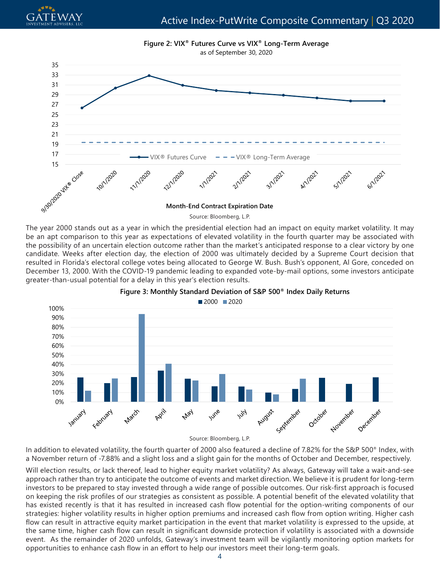



The year 2000 stands out as a year in which the presidential election had an impact on equity market volatility. It may be an apt comparison to this year as expectations of elevated volatility in the fourth quarter may be associated with the possibility of an uncertain election outcome rather than the market's anticipated response to a clear victory by one candidate. Weeks after election day, the election of 2000 was ultimately decided by a Supreme Court decision that resulted in Florida's electoral college votes being allocated to George W. Bush. Bush's opponent, Al Gore, conceded on December 13, 2000. With the COVID-19 pandemic leading to expanded vote-by-mail options, some investors anticipate greater-than-usual potential for a delay in this year's election results.





Source: Bloomberg, L.P.

In addition to elevated volatility, the fourth quarter of 2000 also featured a decline of 7.82% for the S&P 500® Index, with a November return of -7.88% and a slight loss and a slight gain for the months of October and December, respectively.

Will election results, or lack thereof, lead to higher equity market volatility? As always, Gateway will take a wait-and-see approach rather than try to anticipate the outcome of events and market direction. We believe it is prudent for long-term investors to be prepared to stay invested through a wide range of possible outcomes. Our risk-first approach is focused on keeping the risk profiles of our strategies as consistent as possible. A potential benefit of the elevated volatility that has existed recently is that it has resulted in increased cash flow potential for the option-writing components of our strategies: higher volatility results in higher option premiums and increased cash flow from option writing. Higher cash flow can result in attractive equity market participation in the event that market volatility is expressed to the upside, at the same time, higher cash flow can result in significant downside protection if volatility is associated with a downside event. As the remainder of 2020 unfolds, Gateway's investment team will be vigilantly monitoring option markets for opportunities to enhance cash flow in an effort to help our investors meet their long-term goals.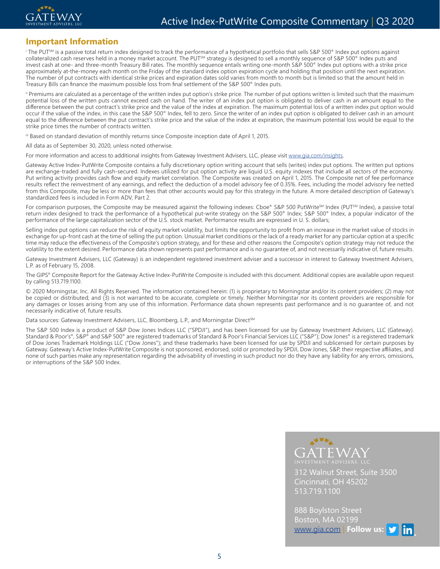

#### **Important Information**

 $^{\rm i}$  The PUTSM is a passive total return index designed to track the performance of a hypothetical portfolio that sells S&P 500® Index put options against collateralized cash reserves held in a money market account. The PUT<sup>SM</sup> strategy is designed to sell a monthly sequence of S&P 500<sup>®</sup> Index puts and invest cash at one- and three-month Treasury Bill rates. The monthly sequence entails writing one-month S&P 500® Index put options with a strike price approximately at-the-money each month on the Friday of the standard index option expiration cycle and holding that position until the next expiration. The number of put contracts with identical strike prices and expiration dates sold varies from month to month but is limited so that the amount held in Treasury Bills can finance the maximum possible loss from final settlement of the S&P 500® Index puts.

ii Premiums are calculated as a percentage of the written index put option's strike price. The number of put options written is limited such that the maximum potential loss of the written puts cannot exceed cash on hand. The writer of an index put option is obligated to deliver cash in an amount equal to the difference between the put contract's strike price and the value of the index at expiration. The maximum potential loss of a written index put option would occur if the value of the index, in this case the S&P 500® Index, fell to zero. Since the writer of an index put option is obligated to deliver cash in an amount equal to the difference between the put contract's strike price and the value of the index at expiration, the maximum potential loss would be equal to the strike price times the number of contracts written.

iii Based on standard deviation of monthly returns since Composite inception date of April 1, 2015.

All data as of September 30, 2020, unless noted otherwise.

For more information and access to additional insights from Gateway Investment Advisers, LLC, please visit www.gia.com/insights.

Gateway Active Index-PutWrite Composite contains a fully discretionary option writing account that sells (writes) index put options. The written put options are exchange-traded and fully cash-secured. Indexes utilized for put option activity are liquid U.S. equity indexes that include all sectors of the economy. Put writing activity provides cash flow and equity market correlation. The Composite was created on April 1, 2015. The Composite net of fee performance results reflect the reinvestment of any earnings, and reflect the deduction of a model advisory fee of 0.35%. Fees, including the model advisory fee netted from this Composite, may be less or more than fees that other accounts would pay for this strategy in the future. A more detailed description of Gateway's standardized fees is included in Form ADV, Part 2.

For comparison purposes, the Composite may be measured against the following indexes: Cboe® S&P 500 PutWrite<sup>SM</sup> Index (PUT<sup>SM</sup> Index), a passive total return index designed to track the performance of a hypothetical put-write strategy on the S&P 500® Index; S&P 500® Index, a popular indicator of the performance of the large capitalization sector of the U.S. stock market. Performance results are expressed in U. S. dollars;

Selling index put options can reduce the risk of equity market volatility, but limits the opportunity to profit from an increase in the market value of stocks in exchange for up-front cash at the time of selling the put option. Unusual market conditions or the lack of a ready market for any particular option at a specific time may reduce the effectiveness of the Composite's option strategy, and for these and other reasons the Composite's option strategy may not reduce the volatility to the extent desired. Performance data shown represents past performance and is no guarantee of, and not necessarily indicative of, future results.

Gateway Investment Advisers, LLC (Gateway) is an independent registered investment adviser and a successor in interest to Gateway Investment Advisers, L.P. as of February 15, 2008.

The GIPS® Composite Report for the Gateway Active Index-PutWrite Composite is included with this document. Additional copies are available upon request by calling 513.719.1100.

© 2020 Morningstar, Inc. All Rights Reserved. The information contained herein: (1) is proprietary to Morningstar and/or its content providers; (2) may not be copied or distributed; and (3) is not warranted to be accurate, complete or timely. Neither Morningstar nor its content providers are responsible for any damages or losses arising from any use of this information. Performance data shown represents past performance and is no guarantee of, and not necessarily indicative of, future results.

Data sources: Gateway Investment Advisers, LLC, Bloomberg, L.P., and Morningstar Direct<sup>sM</sup>

The S&P 500 Index is a product of S&P Dow Jones Indices LLC ("SPDJI"), and has been licensed for use by Gateway Investment Advisers, LLC (Gateway). Standard & Poor's®, S&P® and S&P 500® are registered trademarks of Standard & Poor's Financial Services LLC ("S&P"); Dow Jones® is a registered trademark of Dow Jones Trademark Holdings LLC ("Dow Jones"); and these trademarks have been licensed for use by SPDJI and sublicensed for certain purposes by Gateway. Gateway's Active Index-PutWrite Composite is not sponsored, endorsed, sold or promoted by SPDJI, Dow Jones, S&P, their respective affiliates, and none of such parties make any representation regarding the advisability of investing in such product nor do they have any liability for any errors, omissions, or interruptions of the S&P 500 Index.



312 Walnut Street, Suite 3500 Cincinnati, OH 45202 513.719.1100

888 Boylston Street Boston, MA 02199 [www.gia.com](http://www.gia.com) | **Follow us:**